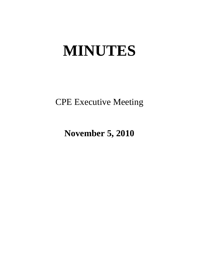# **MINUTES**

CPE Executive Meeting

**November 5, 2010**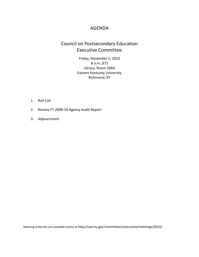## AGENDA

## Council on Postsecondary Education Executive Committee

Friday, November 5, 2010 8 a.m. (ET) Library, Room 204G Eastern Kentucky University Richmond, KY

- 1. Roll Call
- 2. Review FY 2009-10 Agency Audit Report
- 3. Adjournment

Meeting materials are available online at http://cpe.ky.gov/committees/executive/meetings/2010/.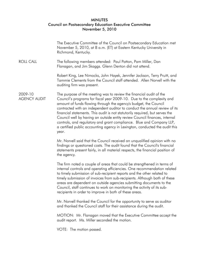### MINUTES Council on Postsecondary Education Executive Committee November 5, 2010

|                                | The Executive Committee of the Council on Postsecondary Education met<br>November 5, 2010, at 8 a.m. (ET) at Eastern Kentucky University in<br>Richmond, Kentucky.                                                                                                                                                                                                                                                                                                                                                                                                                                                           |
|--------------------------------|------------------------------------------------------------------------------------------------------------------------------------------------------------------------------------------------------------------------------------------------------------------------------------------------------------------------------------------------------------------------------------------------------------------------------------------------------------------------------------------------------------------------------------------------------------------------------------------------------------------------------|
| <b>ROLL CALL</b>               | The following members attended: Paul Patton, Pam Miller, Dan<br>Flanagan, and Jim Skaggs. Glenn Denton did not attend.                                                                                                                                                                                                                                                                                                                                                                                                                                                                                                       |
|                                | Robert King, Lee Nimocks, John Hayek, Jennifer Jackson, Terry Pruitt, and<br>Tammie Clements from the Council staff attended. Allen Norvell with the<br>auditing firm was present.                                                                                                                                                                                                                                                                                                                                                                                                                                           |
| 2009-10<br><b>AGENCY AUDIT</b> | The purpose of the meeting was to review the financial audit of the<br>Council's programs for fiscal year 2009-10. Due to the complexity and<br>amount of funds flowing through the agency's budget, the Council<br>contracted with an independent auditor to conduct the annual review of its<br>financial statements. This audit is not statutorily required, but serves the<br>Council well by having an outside entity review Council finances, internal<br>controls, and regulatory and grant compliance. Blue and Company LLP,<br>a certified public accounting agency in Lexington, conducted the audit this<br>year. |
|                                | Mr. Norvell said that the Council received an unqualified opinion with no<br>findings or questioned costs. The audit found that the Council's financial<br>statements present fairly, in all material respects, the financial position of<br>the agency.                                                                                                                                                                                                                                                                                                                                                                     |
|                                | The firm noted a couple of areas that could be strengthened in terms of<br>internal controls and operating efficiencies. One recommendation related<br>to timely submission of sub-recipient reports and the other related to<br>timely submission of invoices from sub-recipients. Although both of these<br>areas are dependent on outside agencies submitting documents to the<br>Council, staff continues to work on monitoring the activity of its sub-<br>recipients in order to improve in both of these areas.                                                                                                       |
|                                | Mr. Norvell thanked the Council for the opportunity to serve as auditor<br>and thanked the Council staff for their assistance during the audit.                                                                                                                                                                                                                                                                                                                                                                                                                                                                              |
|                                | MOTION: Mr. Flanagan moved that the Executive Committee accept the<br>audit report. Ms. Miller seconded the motion.                                                                                                                                                                                                                                                                                                                                                                                                                                                                                                          |
|                                | VOTE: The motion passed.                                                                                                                                                                                                                                                                                                                                                                                                                                                                                                                                                                                                     |